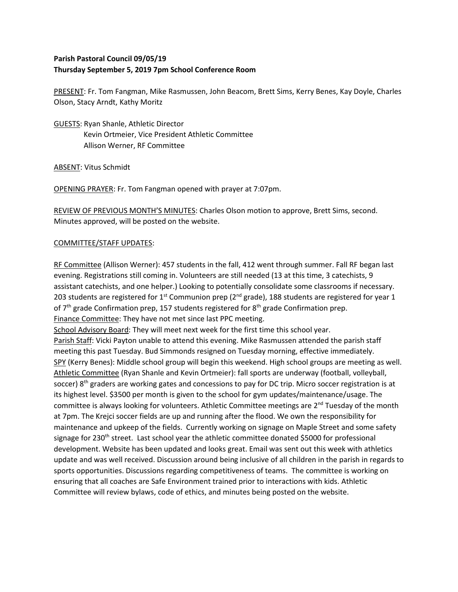## **Parish Pastoral Council 09/05/19 Thursday September 5, 2019 7pm School Conference Room**

PRESENT: Fr. Tom Fangman, Mike Rasmussen, John Beacom, Brett Sims, Kerry Benes, Kay Doyle, Charles Olson, Stacy Arndt, Kathy Moritz

GUESTS: Ryan Shanle, Athletic Director Kevin Ortmeier, Vice President Athletic Committee Allison Werner, RF Committee

ABSENT: Vitus Schmidt

OPENING PRAYER: Fr. Tom Fangman opened with prayer at 7:07pm.

REVIEW OF PREVIOUS MONTH'S MINUTES: Charles Olson motion to approve, Brett Sims, second. Minutes approved, will be posted on the website.

## COMMITTEE/STAFF UPDATES:

RF Committee (Allison Werner): 457 students in the fall, 412 went through summer. Fall RF began last evening. Registrations still coming in. Volunteers are still needed (13 at this time, 3 catechists, 9 assistant catechists, and one helper.) Looking to potentially consolidate some classrooms if necessary. 203 students are registered for 1<sup>st</sup> Communion prep ( $2^{nd}$  grade), 188 students are registered for year 1 of 7<sup>th</sup> grade Confirmation prep, 157 students registered for 8<sup>th</sup> grade Confirmation prep. Finance Committee: They have not met since last PPC meeting.

School Advisory Board: They will meet next week for the first time this school year.

Parish Staff: Vicki Payton unable to attend this evening. Mike Rasmussen attended the parish staff meeting this past Tuesday. Bud Simmonds resigned on Tuesday morning, effective immediately. SPY (Kerry Benes): Middle school group will begin this weekend. High school groups are meeting as well. Athletic Committee (Ryan Shanle and Kevin Ortmeier): fall sports are underway (football, volleyball, soccer) 8<sup>th</sup> graders are working gates and concessions to pay for DC trip. Micro soccer registration is at its highest level. \$3500 per month is given to the school for gym updates/maintenance/usage. The committee is always looking for volunteers. Athletic Committee meetings are  $2<sup>nd</sup>$  Tuesday of the month at 7pm. The Krejci soccer fields are up and running after the flood. We own the responsibility for maintenance and upkeep of the fields. Currently working on signage on Maple Street and some safety signage for 230<sup>th</sup> street. Last school year the athletic committee donated \$5000 for professional development. Website has been updated and looks great. Email was sent out this week with athletics update and was well received. Discussion around being inclusive of all children in the parish in regards to sports opportunities. Discussions regarding competitiveness of teams. The committee is working on ensuring that all coaches are Safe Environment trained prior to interactions with kids. Athletic Committee will review bylaws, code of ethics, and minutes being posted on the website.